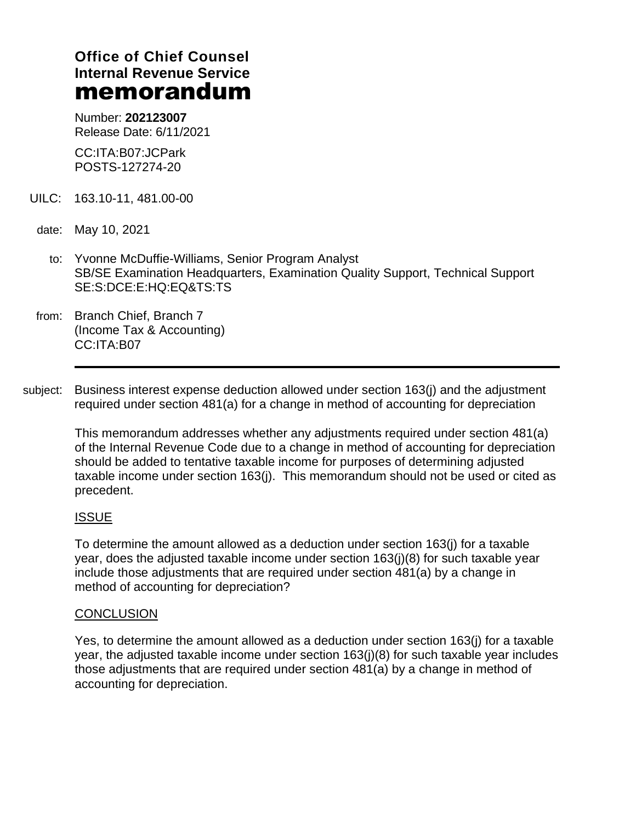# **Office of Chief Counsel Internal Revenue Service** memorandum

Number: **202123007** Release Date: 6/11/2021

CC:ITA:B07:JCPark POSTS-127274-20

- UILC: 163.10-11, 481.00-00
- date: May 10, 2021
	- to: Yvonne McDuffie-Williams, Senior Program Analyst SB/SE Examination Headquarters, Examination Quality Support, Technical Support SE:S:DCE:E:HQ:EQ&TS:TS
- from: Branch Chief, Branch 7 (Income Tax & Accounting) CC:ITA:B07
- subject: Business interest expense deduction allowed under section 163(j) and the adjustment required under section 481(a) for a change in method of accounting for depreciation

This memorandum addresses whether any adjustments required under section 481(a) of the Internal Revenue Code due to a change in method of accounting for depreciation should be added to tentative taxable income for purposes of determining adjusted taxable income under section 163(j). This memorandum should not be used or cited as precedent.

### ISSUE

To determine the amount allowed as a deduction under section 163(j) for a taxable year, does the adjusted taxable income under section 163(j)(8) for such taxable year include those adjustments that are required under section 481(a) by a change in method of accounting for depreciation?

#### **CONCLUSION**

Yes, to determine the amount allowed as a deduction under section 163(j) for a taxable year, the adjusted taxable income under section 163(j)(8) for such taxable year includes those adjustments that are required under section 481(a) by a change in method of accounting for depreciation.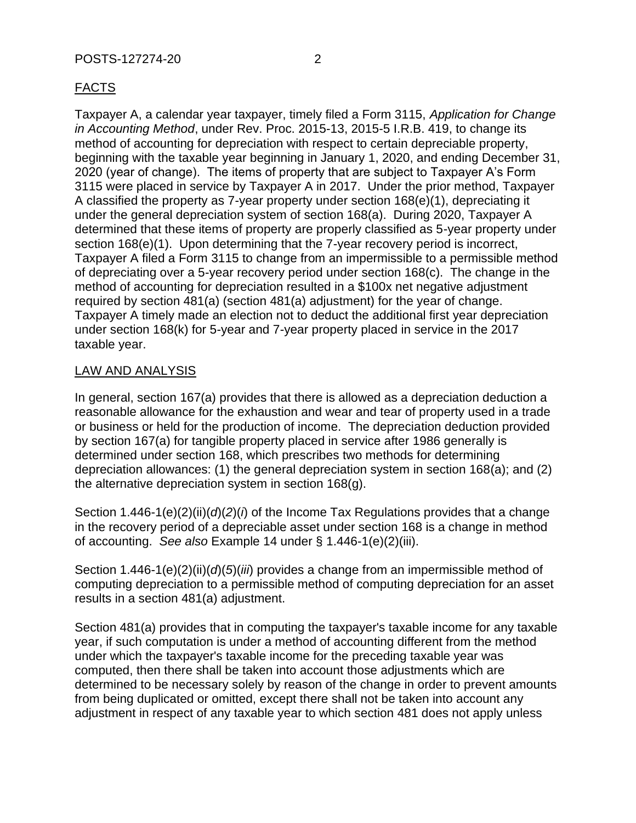# FACTS

Taxpayer A, a calendar year taxpayer, timely filed a Form 3115, *Application for Change in Accounting Method*, under Rev. Proc. 2015-13, 2015-5 I.R.B. 419, to change its method of accounting for depreciation with respect to certain depreciable property, beginning with the taxable year beginning in January 1, 2020, and ending December 31, 2020 (year of change). The items of property that are subject to Taxpayer A's Form 3115 were placed in service by Taxpayer A in 2017. Under the prior method, Taxpayer A classified the property as 7-year property under section 168(e)(1), depreciating it under the general depreciation system of section 168(a). During 2020, Taxpayer A determined that these items of property are properly classified as 5-year property under section 168(e)(1). Upon determining that the 7-year recovery period is incorrect, Taxpayer A filed a Form 3115 to change from an impermissible to a permissible method of depreciating over a 5-year recovery period under section 168(c). The change in the method of accounting for depreciation resulted in a \$100x net negative adjustment required by section 481(a) (section 481(a) adjustment) for the year of change. Taxpayer A timely made an election not to deduct the additional first year depreciation under section 168(k) for 5-year and 7-year property placed in service in the 2017 taxable year.

# LAW AND ANALYSIS

In general, section 167(a) provides that there is allowed as a depreciation deduction a reasonable allowance for the exhaustion and wear and tear of property used in a trade or business or held for the production of income. The depreciation deduction provided by section 167(a) for tangible property placed in service after 1986 generally is determined under section 168, which prescribes two methods for determining depreciation allowances: (1) the general depreciation system in section 168(a); and (2) the alternative depreciation system in section 168(g).

Section 1.446-1(e)(2)(ii)(*d*)(*2*)(*i*) of the Income Tax Regulations provides that a change in the recovery period of a depreciable asset under section 168 is a change in method of accounting. *See also* Example 14 under § 1.446-1(e)(2)(iii).

Section 1.446-1(e)(2)(ii)(*d*)(*5*)(*iii*) provides a change from an impermissible method of computing depreciation to a permissible method of computing depreciation for an asset results in a section 481(a) adjustment.

Section 481(a) provides that in computing the taxpayer's taxable income for any taxable year, if such computation is under a method of accounting different from the method under which the taxpayer's taxable income for the preceding taxable year was computed, then there shall be taken into account those adjustments which are determined to be necessary solely by reason of the change in order to prevent amounts from being duplicated or omitted, except there shall not be taken into account any adjustment in respect of any taxable year to which section 481 does not apply unless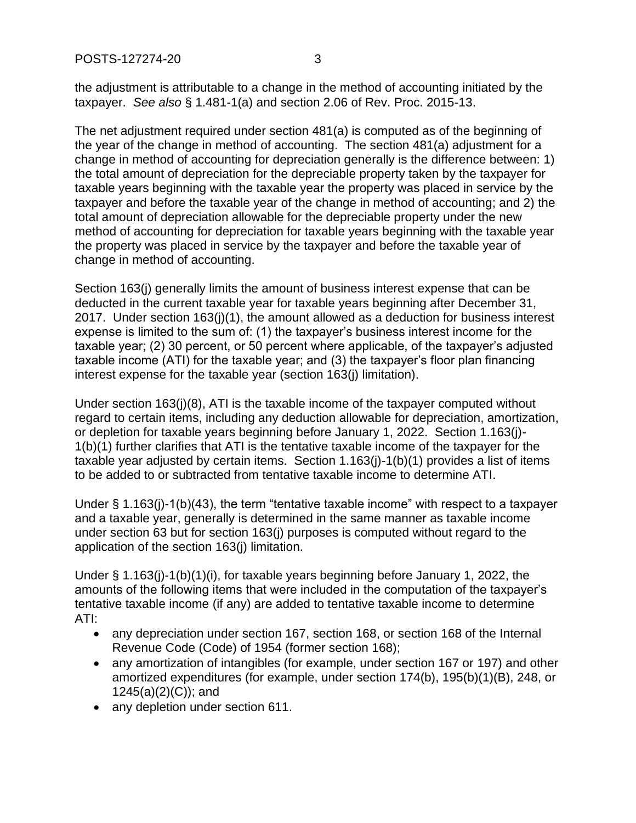the adjustment is attributable to a change in the method of accounting initiated by the taxpayer. *See also* § 1.481-1(a) and section 2.06 of Rev. Proc. 2015-13.

The net adjustment required under section 481(a) is computed as of the beginning of the year of the change in method of accounting. The section 481(a) adjustment for a change in method of accounting for depreciation generally is the difference between: 1) the total amount of depreciation for the depreciable property taken by the taxpayer for taxable years beginning with the taxable year the property was placed in service by the taxpayer and before the taxable year of the change in method of accounting; and 2) the total amount of depreciation allowable for the depreciable property under the new method of accounting for depreciation for taxable years beginning with the taxable year the property was placed in service by the taxpayer and before the taxable year of change in method of accounting.

Section 163(j) generally limits the amount of business interest expense that can be deducted in the current taxable year for taxable years beginning after December 31, 2017. Under section 163(j)(1), the amount allowed as a deduction for business interest expense is limited to the sum of: (1) the taxpayer's business interest income for the taxable year; (2) 30 percent, or 50 percent where applicable, of the taxpayer's adjusted taxable income (ATI) for the taxable year; and (3) the taxpayer's floor plan financing interest expense for the taxable year (section 163(j) limitation).

Under section 163(j)(8), ATI is the taxable income of the taxpayer computed without regard to certain items, including any deduction allowable for depreciation, amortization, or depletion for taxable years beginning before January 1, 2022. Section 1.163(j)- 1(b)(1) further clarifies that ATI is the tentative taxable income of the taxpayer for the taxable year adjusted by certain items. Section 1.163(j)-1(b)(1) provides a list of items to be added to or subtracted from tentative taxable income to determine ATI.

Under § 1.163(j)-1(b)(43), the term "tentative taxable income" with respect to a taxpayer and a taxable year, generally is determined in the same manner as taxable income under section 63 but for section 163(j) purposes is computed without regard to the application of the section 163(j) limitation.

Under § 1.163(j)-1(b)(1)(i), for taxable years beginning before January 1, 2022, the amounts of the following items that were included in the computation of the taxpayer's tentative taxable income (if any) are added to tentative taxable income to determine ATI:

- any depreciation under section 167, section 168, or section 168 of the Internal Revenue Code (Code) of 1954 (former section 168);
- any amortization of intangibles (for example, under section 167 or 197) and other amortized expenditures (for example, under section 174(b), 195(b)(1)(B), 248, or 1245(a)(2)(C)); and
- any depletion under section 611.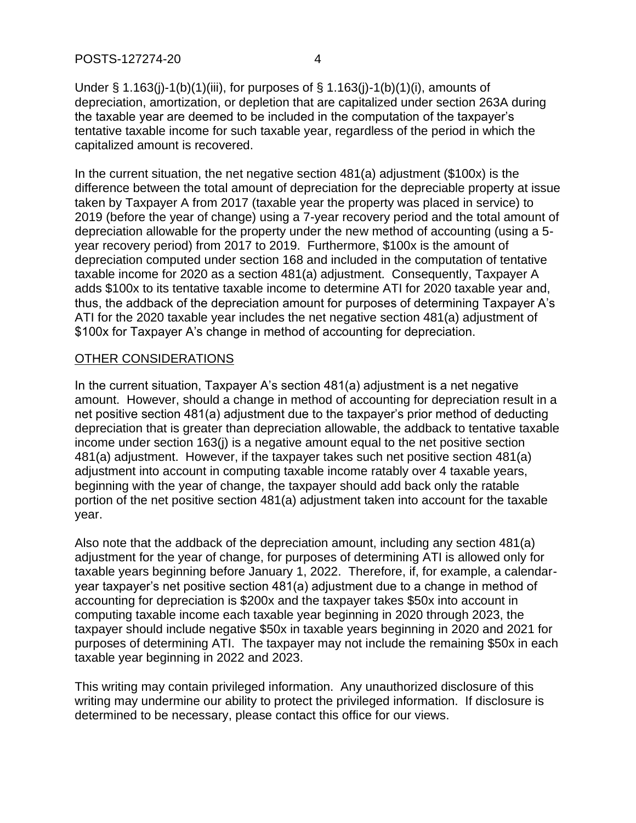Under § 1.163(j)-1(b)(1)(iii), for purposes of § 1.163(j)-1(b)(1)(i), amounts of depreciation, amortization, or depletion that are capitalized under section 263A during the taxable year are deemed to be included in the computation of the taxpayer's tentative taxable income for such taxable year, regardless of the period in which the capitalized amount is recovered.

In the current situation, the net negative section 481(a) adjustment (\$100x) is the difference between the total amount of depreciation for the depreciable property at issue taken by Taxpayer A from 2017 (taxable year the property was placed in service) to 2019 (before the year of change) using a 7-year recovery period and the total amount of depreciation allowable for the property under the new method of accounting (using a 5 year recovery period) from 2017 to 2019. Furthermore, \$100x is the amount of depreciation computed under section 168 and included in the computation of tentative taxable income for 2020 as a section 481(a) adjustment. Consequently, Taxpayer A adds \$100x to its tentative taxable income to determine ATI for 2020 taxable year and, thus, the addback of the depreciation amount for purposes of determining Taxpayer A's ATI for the 2020 taxable year includes the net negative section 481(a) adjustment of \$100x for Taxpayer A's change in method of accounting for depreciation.

# OTHER CONSIDERATIONS

In the current situation, Taxpayer A's section 481(a) adjustment is a net negative amount. However, should a change in method of accounting for depreciation result in a net positive section 481(a) adjustment due to the taxpayer's prior method of deducting depreciation that is greater than depreciation allowable, the addback to tentative taxable income under section 163(j) is a negative amount equal to the net positive section 481(a) adjustment. However, if the taxpayer takes such net positive section 481(a) adjustment into account in computing taxable income ratably over 4 taxable years, beginning with the year of change, the taxpayer should add back only the ratable portion of the net positive section 481(a) adjustment taken into account for the taxable year.

Also note that the addback of the depreciation amount, including any section 481(a) adjustment for the year of change, for purposes of determining ATI is allowed only for taxable years beginning before January 1, 2022. Therefore, if, for example, a calendaryear taxpayer's net positive section 481(a) adjustment due to a change in method of accounting for depreciation is \$200x and the taxpayer takes \$50x into account in computing taxable income each taxable year beginning in 2020 through 2023, the taxpayer should include negative \$50x in taxable years beginning in 2020 and 2021 for purposes of determining ATI. The taxpayer may not include the remaining \$50x in each taxable year beginning in 2022 and 2023.

This writing may contain privileged information. Any unauthorized disclosure of this writing may undermine our ability to protect the privileged information. If disclosure is determined to be necessary, please contact this office for our views.